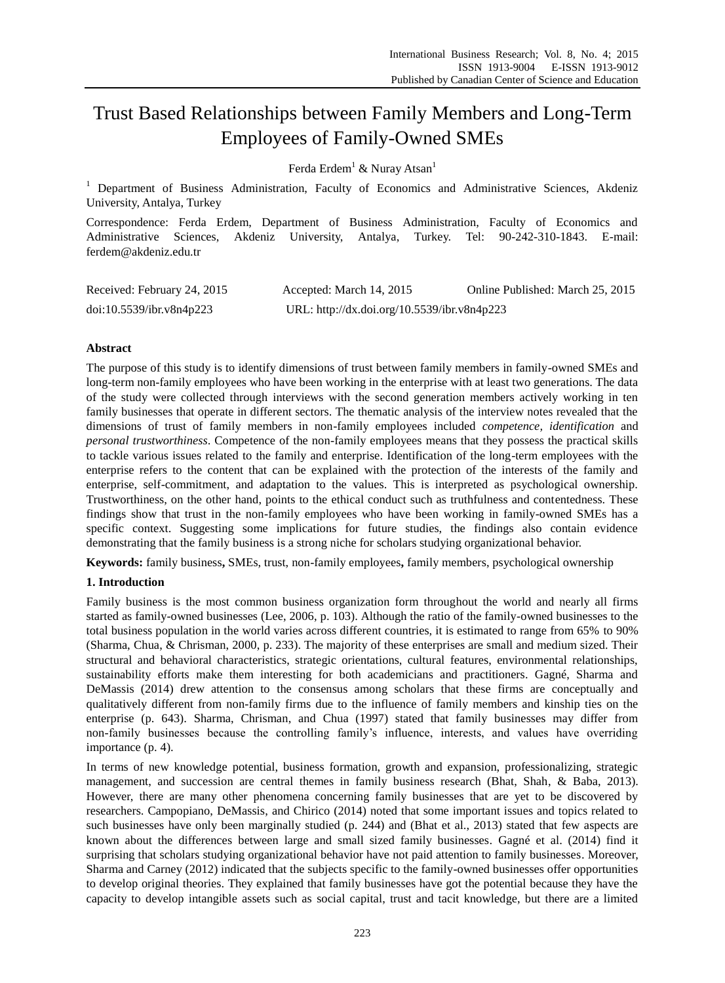# Trust Based Relationships between Family Members and Long-Term Employees of Family-Owned SMEs

Ferda Erdem<sup>1</sup> & Nuray Atsan<sup>1</sup>

<sup>1</sup> Department of Business Administration, Faculty of Economics and Administrative Sciences, Akdeniz University, Antalya, Turkey

Correspondence: Ferda Erdem, Department of Business Administration, Faculty of Economics and Administrative Sciences, Akdeniz University, Antalya, Turkey. Tel: 90-242-310-1843. E-mail: ferdem@akdeniz.edu.tr

| Received: February 24, 2015 | Accepted: March 14, 2015                    | Online Published: March 25, 2015 |
|-----------------------------|---------------------------------------------|----------------------------------|
| doi:10.5539/ibr.v8n4p223    | URL: http://dx.doi.org/10.5539/ibr.v8n4p223 |                                  |

## **Abstract**

The purpose of this study is to identify dimensions of trust between family members in family-owned SMEs and long-term non-family employees who have been working in the enterprise with at least two generations. The data of the study were collected through interviews with the second generation members actively working in ten family businesses that operate in different sectors. The thematic analysis of the interview notes revealed that the dimensions of trust of family members in non-family employees included *competence, identification* and *personal trustworthiness*. Competence of the non-family employees means that they possess the practical skills to tackle various issues related to the family and enterprise. Identification of the long-term employees with the enterprise refers to the content that can be explained with the protection of the interests of the family and enterprise, self-commitment, and adaptation to the values. This is interpreted as psychological ownership. Trustworthiness, on the other hand, points to the ethical conduct such as truthfulness and contentedness. These findings show that trust in the non-family employees who have been working in family-owned SMEs has a specific context. Suggesting some implications for future studies, the findings also contain evidence demonstrating that the family business is a strong niche for scholars studying organizational behavior.

**Keywords:** family business**,** SMEs, trust, non-family employees**,** family members, psychological ownership

#### **1. Introduction**

Family business is the most common business organization form throughout the world and nearly all firms started as family-owned businesses (Lee, 2006, p. 103). Although the ratio of the family-owned businesses to the total business population in the world varies across different countries, it is estimated to range from 65% to 90% (Sharma, Chua, & Chrisman, 2000, p. 233). The majority of these enterprises are small and medium sized. Their structural and behavioral characteristics, strategic orientations, cultural features, environmental relationships, sustainability efforts make them interesting for both academicians and practitioners. Gagné, Sharma and DeMassis (2014) drew attention to the consensus among scholars that these firms are conceptually and qualitatively different from non-family firms due to the influence of family members and kinship ties on the enterprise (p. 643). Sharma, Chrisman, and Chua (1997) stated that family businesses may differ from non-family businesses because the controlling family's influence, interests, and values have overriding importance (p. 4).

In terms of new knowledge potential, business formation, growth and expansion, professionalizing, strategic management, and succession are central themes in family business research (Bhat, Shah, & Baba, 2013). However, there are many other phenomena concerning family businesses that are yet to be discovered by researchers. Campopiano, DeMassis, and Chirico (2014) noted that some important issues and topics related to such businesses have only been marginally studied (p. 244) and (Bhat et al., 2013) stated that few aspects are known about the differences between large and small sized family businesses. Gagné et al. (2014) find it surprising that scholars studying organizational behavior have not paid attention to family businesses. Moreover, Sharma and Carney (2012) indicated that the subjects specific to the family-owned businesses offer opportunities to develop original theories. They explained that family businesses have got the potential because they have the capacity to develop intangible assets such as social capital, trust and tacit knowledge, but there are a limited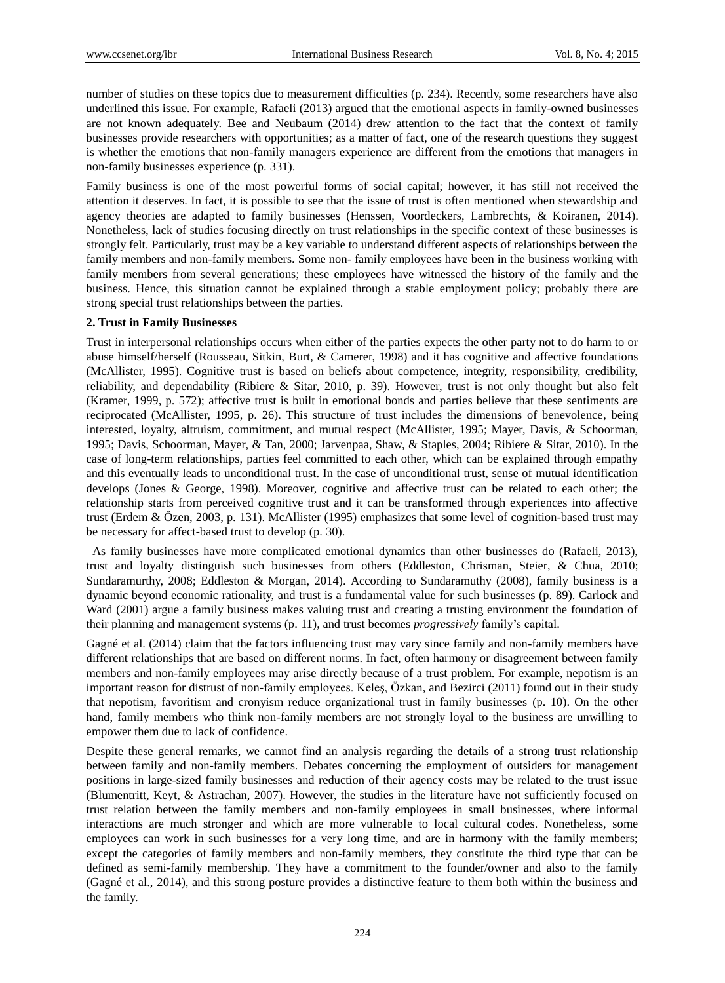number of studies on these topics due to measurement difficulties (p. 234). Recently, some researchers have also underlined this issue. For example, Rafaeli (2013) argued that the emotional aspects in family-owned businesses are not known adequately. Bee and Neubaum (2014) drew attention to the fact that the context of family businesses provide researchers with opportunities; as a matter of fact, one of the research questions they suggest is whether the emotions that non-family managers experience are different from the emotions that managers in non-family businesses experience (p. 331).

Family business is one of the most powerful forms of social capital; however, it has still not received the attention it deserves. In fact, it is possible to see that the issue of trust is often mentioned when stewardship and agency theories are adapted to family businesses (Henssen, Voordeckers, Lambrechts, & Koiranen, 2014). Nonetheless, lack of studies focusing directly on trust relationships in the specific context of these businesses is strongly felt. Particularly, trust may be a key variable to understand different aspects of relationships between the family members and non-family members. Some non- family employees have been in the business working with family members from several generations; these employees have witnessed the history of the family and the business. Hence, this situation cannot be explained through a stable employment policy; probably there are strong special trust relationships between the parties.

#### **2. Trust in Family Businesses**

Trust in interpersonal relationships occurs when either of the parties expects the other party not to do harm to or abuse himself/herself (Rousseau, Sitkin, Burt, & Camerer, 1998) and it has cognitive and affective foundations (McAllister, 1995). Cognitive trust is based on beliefs about competence, integrity, responsibility, credibility, reliability, and dependability (Ribiere & Sitar, 2010, p. 39). However, trust is not only thought but also felt (Kramer, 1999, p. 572); affective trust is built in emotional bonds and parties believe that these sentiments are reciprocated (McAllister, 1995, p. 26). This structure of trust includes the dimensions of benevolence, being interested, loyalty, altruism, commitment, and mutual respect (McAllister, 1995; Mayer, Davis, & Schoorman, 1995; Davis, Schoorman, Mayer, & Tan, 2000; Jarvenpaa, Shaw, & Staples, 2004; Ribiere & Sitar, 2010). In the case of long-term relationships, parties feel committed to each other, which can be explained through empathy and this eventually leads to unconditional trust. In the case of unconditional trust, sense of mutual identification develops (Jones & George, 1998). Moreover, cognitive and affective trust can be related to each other; the relationship starts from perceived cognitive trust and it can be transformed through experiences into affective trust (Erdem & Özen, 2003, p. 131). McAllister (1995) emphasizes that some level of cognition-based trust may be necessary for affect-based trust to develop (p. 30).

As family businesses have more complicated emotional dynamics than other businesses do (Rafaeli, 2013), trust and loyalty distinguish such businesses from others (Eddleston, Chrisman, Steier, & Chua, 2010; Sundaramurthy, 2008; Eddleston & Morgan, 2014). According to Sundaramuthy (2008), family business is a dynamic beyond economic rationality, and trust is a fundamental value for such businesses (p. 89). Carlock and Ward (2001) argue a family business makes valuing trust and creating a trusting environment the foundation of their planning and management systems (p. 11), and trust becomes *progressively* family's capital.

Gagné et al. (2014) claim that the factors influencing trust may vary since family and non-family members have different relationships that are based on different norms. In fact, often harmony or disagreement between family members and non-family employees may arise directly because of a trust problem. For example, nepotism is an important reason for distrust of non-family employees. Keleş, Özkan, and Bezirci (2011) found out in their study that nepotism, favoritism and cronyism reduce organizational trust in family businesses (p. 10). On the other hand, family members who think non-family members are not strongly loyal to the business are unwilling to empower them due to lack of confidence.

Despite these general remarks, we cannot find an analysis regarding the details of a strong trust relationship between family and non-family members. Debates concerning the employment of outsiders for management positions in large-sized family businesses and reduction of their agency costs may be related to the trust issue (Blumentritt, Keyt, & Astrachan, 2007). However, the studies in the literature have not sufficiently focused on trust relation between the family members and non-family employees in small businesses, where informal interactions are much stronger and which are more vulnerable to local cultural codes. Nonetheless, some employees can work in such businesses for a very long time, and are in harmony with the family members; except the categories of family members and non-family members, they constitute the third type that can be defined as semi-family membership. They have a commitment to the founder/owner and also to the family (Gagné et al., 2014), and this strong posture provides a distinctive feature to them both within the business and the family.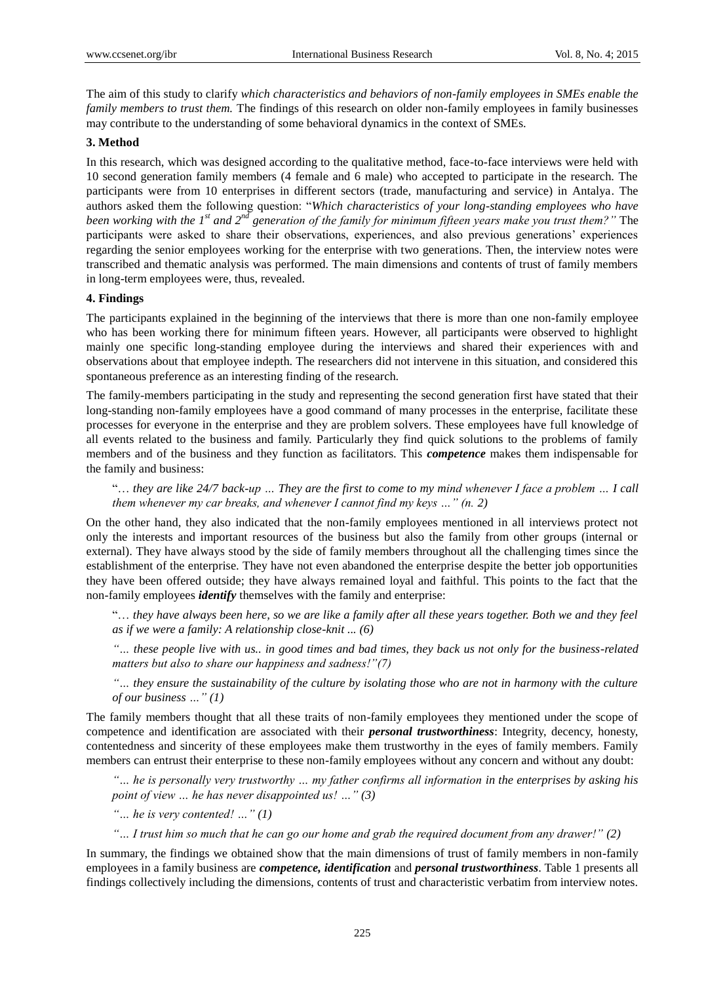The aim of this study to clarify *which characteristics and behaviors of non-family employees in SMEs enable the family members to trust them.* The findings of this research on older non-family employees in family businesses may contribute to the understanding of some behavioral dynamics in the context of SMEs.

## **3. Method**

In this research, which was designed according to the qualitative method, face-to-face interviews were held with 10 second generation family members (4 female and 6 male) who accepted to participate in the research. The participants were from 10 enterprises in different sectors (trade, manufacturing and service) in Antalya. The authors asked them the following question: "*Which characteristics of your long-standing employees who have*  been working with the 1<sup>*st*</sup> and 2<sup>*nd*</sup> generation of the family for minimum fifteen years make you trust them?" The participants were asked to share their observations, experiences, and also previous generations' experiences regarding the senior employees working for the enterprise with two generations. Then, the interview notes were transcribed and thematic analysis was performed. The main dimensions and contents of trust of family members in long-term employees were, thus, revealed.

## **4. Findings**

The participants explained in the beginning of the interviews that there is more than one non-family employee who has been working there for minimum fifteen years. However, all participants were observed to highlight mainly one specific long-standing employee during the interviews and shared their experiences with and observations about that employee indepth. The researchers did not intervene in this situation, and considered this spontaneous preference as an interesting finding of the research.

The family-members participating in the study and representing the second generation first have stated that their long-standing non-family employees have a good command of many processes in the enterprise, facilitate these processes for everyone in the enterprise and they are problem solvers. These employees have full knowledge of all events related to the business and family. Particularly they find quick solutions to the problems of family members and of the business and they function as facilitators. This *competence* makes them indispensable for the family and business:

"… *they are like 24/7 back-up … They are the first to come to my mind whenever I face a problem … I call them whenever my car breaks, and whenever I cannot find my keys …" (n. 2)*

On the other hand, they also indicated that the non-family employees mentioned in all interviews protect not only the interests and important resources of the business but also the family from other groups (internal or external). They have always stood by the side of family members throughout all the challenging times since the establishment of the enterprise. They have not even abandoned the enterprise despite the better job opportunities they have been offered outside; they have always remained loyal and faithful. This points to the fact that the non-family employees *identify* themselves with the family and enterprise:

"… *they have always been here, so we are like a family after all these years together. Both we and they feel as if we were a family: A relationship close-knit ... (6)*

*"… these people live with us.. in good times and bad times, they back us not only for the business-related matters but also to share our happiness and sadness!"(7)*

*"… they ensure the sustainability of the culture by isolating those who are not in harmony with the culture of our business …" (1)*

The family members thought that all these traits of non-family employees they mentioned under the scope of competence and identification are associated with their *personal trustworthiness*: Integrity, decency, honesty, contentedness and sincerity of these employees make them trustworthy in the eyes of family members. Family members can entrust their enterprise to these non-family employees without any concern and without any doubt:

*"… he is personally very trustworthy … my father confirms all information in the enterprises by asking his point of view … he has never disappointed us! …" (3)* 

*"… he is very contented! …" (1)*

*"… I trust him so much that he can go our home and grab the required document from any drawer!" (2)*

In summary, the findings we obtained show that the main dimensions of trust of family members in non-family employees in a family business are *competence, identification* and *personal trustworthiness*. Table 1 presents all findings collectively including the dimensions, contents of trust and characteristic verbatim from interview notes.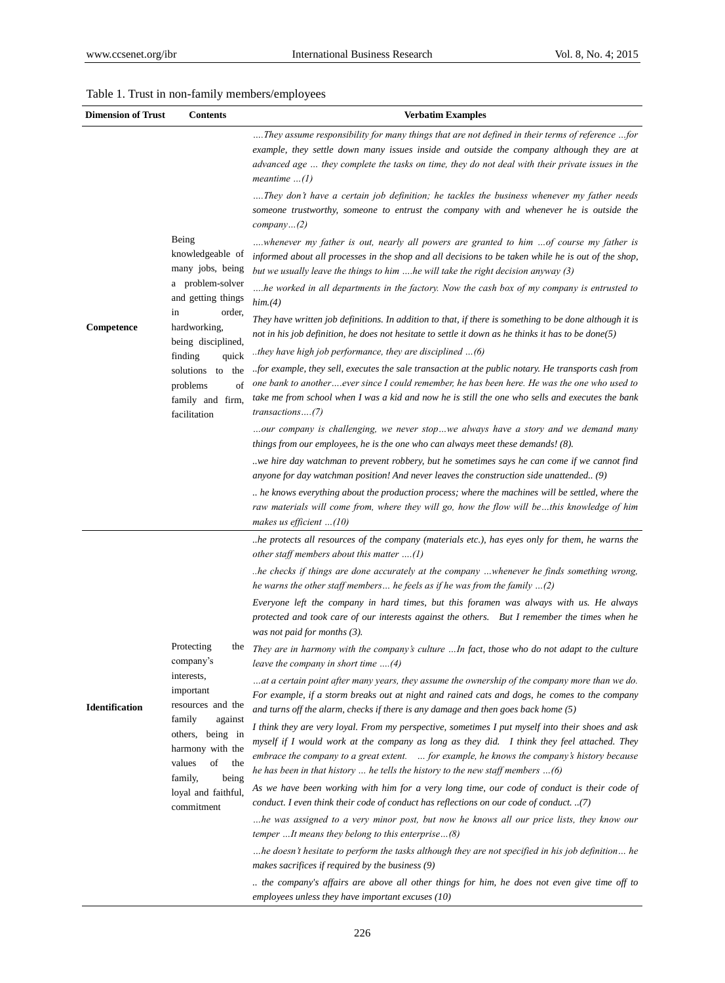# Table 1. Trust in non-family members/employees

| <b>Dimension of Trust</b> | <b>Contents</b>                                                                                                                                                                                                                                | <b>Verbatim Examples</b>                                                                                                                                                                                                                                                                                                                                                                           |  |
|---------------------------|------------------------------------------------------------------------------------------------------------------------------------------------------------------------------------------------------------------------------------------------|----------------------------------------------------------------------------------------------------------------------------------------------------------------------------------------------------------------------------------------------------------------------------------------------------------------------------------------------------------------------------------------------------|--|
| Competence                | Being<br>knowledgeable of<br>many jobs, being<br>a problem-solver<br>and getting things<br>order,<br>in<br>hardworking,<br>being disciplined,<br>finding<br>quick<br>solutions<br>to the<br>of<br>problems<br>family and firm,<br>facilitation | They assume responsibility for many things that are not defined in their terms of referencefor<br>example, they settle down many issues inside and outside the company although they are at<br>advanced age  they complete the tasks on time, they do not deal with their private issues in the<br>meantime $(1)$                                                                                  |  |
|                           |                                                                                                                                                                                                                                                | They don't have a certain job definition; he tackles the business whenever my father needs<br>someone trustworthy, someone to entrust the company with and whenever he is outside the<br>company(2)                                                                                                                                                                                                |  |
|                           |                                                                                                                                                                                                                                                | whenever my father is out, nearly all powers are granted to him of course my father is<br>informed about all processes in the shop and all decisions to be taken while he is out of the shop,<br>but we usually leave the things to him  he will take the right decision anyway (3)<br>he worked in all departments in the factory. Now the cash box of my company is entrusted to                 |  |
|                           |                                                                                                                                                                                                                                                | him.(4)<br>They have written job definitions. In addition to that, if there is something to be done although it is<br>not in his job definition, he does not hesitate to settle it down as he thinks it has to be done(5)<br>they have high job performance, they are disciplined $(6)$                                                                                                            |  |
|                           |                                                                                                                                                                                                                                                | .for example, they sell, executes the sale transaction at the public notary. He transports cash from<br>one bank to anotherever since I could remember, he has been here. He was the one who used to<br>take me from school when I was a kid and now he is still the one who sells and executes the bank<br>transactions(7)                                                                        |  |
|                           |                                                                                                                                                                                                                                                | our company is challenging, we never stopwe always have a story and we demand many<br>things from our employees, he is the one who can always meet these demands! (8).                                                                                                                                                                                                                             |  |
|                           |                                                                                                                                                                                                                                                | we hire day watchman to prevent robbery, but he sometimes says he can come if we cannot find<br>anyone for day watchman position! And never leaves the construction side unattended (9)                                                                                                                                                                                                            |  |
|                           |                                                                                                                                                                                                                                                | he knows everything about the production process; where the machines will be settled, where the<br>raw materials will come from, where they will go, how the flow will bethis knowledge of him<br>makes us efficient $(10)$                                                                                                                                                                        |  |
|                           | Protecting<br>the<br>company's<br>interests,<br>important<br>resources and the<br>family<br>against<br>others, being in<br>harmony with the<br>of<br>values<br>the<br>family,<br>being<br>loyal and faithful,<br>commitment                    | he protects all resources of the company (materials etc.), has eyes only for them, he warns the<br>other staff members about this matter $\dots(l)$                                                                                                                                                                                                                                                |  |
|                           |                                                                                                                                                                                                                                                | he checks if things are done accurately at the company whenever he finds something wrong,<br>he warns the other staff members he feels as if he was from the family (2)                                                                                                                                                                                                                            |  |
| <b>Identification</b>     |                                                                                                                                                                                                                                                | Everyone left the company in hard times, but this foramen was always with us. He always<br>protected and took care of our interests against the others. But I remember the times when he<br>was not paid for months (3).                                                                                                                                                                           |  |
|                           |                                                                                                                                                                                                                                                | They are in harmony with the company's culture In fact, those who do not adapt to the culture<br>leave the company in short time $\dots(4)$                                                                                                                                                                                                                                                        |  |
|                           |                                                                                                                                                                                                                                                | at a certain point after many years, they assume the ownership of the company more than we do.<br>For example, if a storm breaks out at night and rained cats and dogs, he comes to the company<br>and turns off the alarm, checks if there is any damage and then goes back home (5)                                                                                                              |  |
|                           |                                                                                                                                                                                                                                                | I think they are very loyal. From my perspective, sometimes I put myself into their shoes and ask<br>myself if I would work at the company as long as they did. I think they feel attached. They<br>embrace the company to a great extent.  for example, he knows the company's history because<br>he has been in that history $\ldots$ he tells the history to the new staff members $\ldots$ (6) |  |
|                           |                                                                                                                                                                                                                                                | As we have been working with him for a very long time, our code of conduct is their code of<br>conduct. I even think their code of conduct has reflections on our code of conduct. (7)                                                                                                                                                                                                             |  |
|                           |                                                                                                                                                                                                                                                | he was assigned to a very minor post, but now he knows all our price lists, they know our<br>temper  It means they belong to this enterprise $(8)$                                                                                                                                                                                                                                                 |  |
|                           |                                                                                                                                                                                                                                                | he doesn't hesitate to perform the tasks although they are not specified in his job definition he<br>makes sacrifices if required by the business (9)                                                                                                                                                                                                                                              |  |
|                           |                                                                                                                                                                                                                                                | the company's affairs are above all other things for him, he does not even give time off to<br>employees unless they have important excuses $(10)$                                                                                                                                                                                                                                                 |  |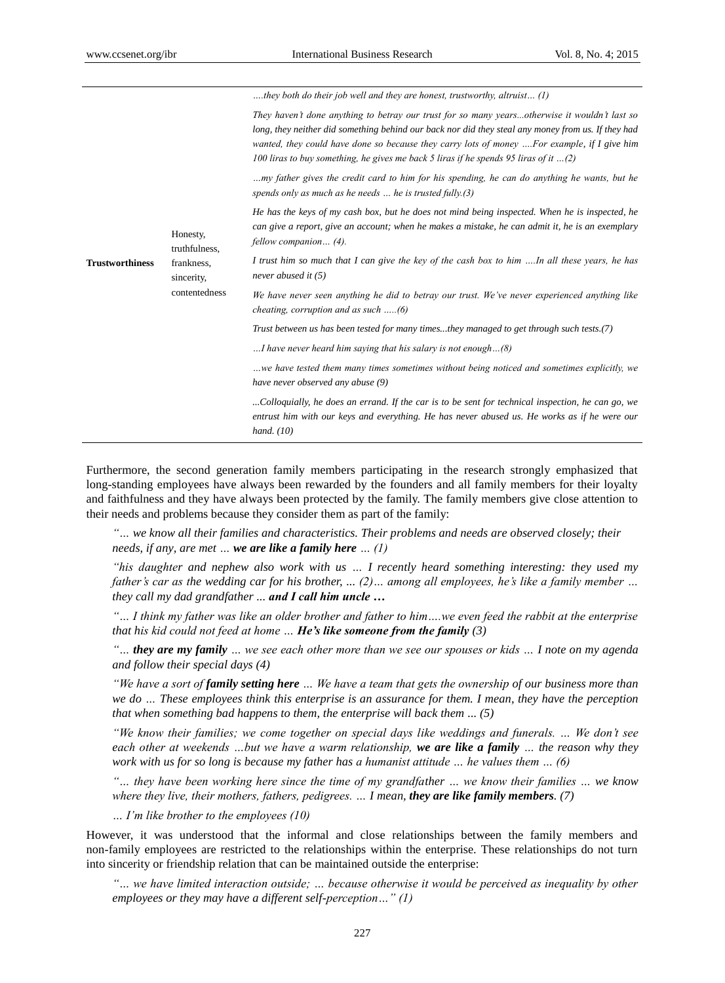| Honesty,<br>truthfulness,<br><b>Trustworthiness</b><br>frankness.<br>sincerity,<br>contentedness | they both do their job well and they are honest, trustworthy, altruist (1)                                                                                                                                                                                                                                                                                                                 |                                                                                                                                                                                                                             |
|--------------------------------------------------------------------------------------------------|--------------------------------------------------------------------------------------------------------------------------------------------------------------------------------------------------------------------------------------------------------------------------------------------------------------------------------------------------------------------------------------------|-----------------------------------------------------------------------------------------------------------------------------------------------------------------------------------------------------------------------------|
|                                                                                                  | They haven't done anything to betray our trust for so many yearsotherwise it wouldn't last so<br>long, they neither did something behind our back nor did they steal any money from us. If they had<br>wanted, they could have done so because they carry lots of money For example, if I give him<br>100 liras to buy something, he gives me back 5 liras if he spends 95 liras of it (2) |                                                                                                                                                                                                                             |
|                                                                                                  |                                                                                                                                                                                                                                                                                                                                                                                            | my father gives the credit card to him for his spending, he can do anything he wants, but he<br>spends only as much as he needs $\ldots$ he is trusted fully. (3)                                                           |
|                                                                                                  |                                                                                                                                                                                                                                                                                                                                                                                            | He has the keys of my cash box, but he does not mind being inspected. When he is inspected, he<br>can give a report, give an account; when he makes a mistake, he can admit it, he is an exemplary<br>fellow companion (4). |
|                                                                                                  |                                                                                                                                                                                                                                                                                                                                                                                            | I trust him so much that I can give the key of the cash box to him In all these years, he has<br>never abused it $(5)$                                                                                                      |
|                                                                                                  | We have never seen anything he did to betray our trust. We've never experienced anything like<br>cheating, corruption and as such $(6)$                                                                                                                                                                                                                                                    |                                                                                                                                                                                                                             |
|                                                                                                  | Trust between us has been tested for many timesthey managed to get through such tests.(7)                                                                                                                                                                                                                                                                                                  |                                                                                                                                                                                                                             |
|                                                                                                  | I have never heard him saying that his salary is not enough(8)                                                                                                                                                                                                                                                                                                                             |                                                                                                                                                                                                                             |
|                                                                                                  | we have tested them many times sometimes without being noticed and sometimes explicitly, we<br>have never observed any abuse (9)                                                                                                                                                                                                                                                           |                                                                                                                                                                                                                             |
|                                                                                                  | Colloquially, he does an errand. If the car is to be sent for technical inspection, he can go, we<br>entrust him with our keys and everything. He has never abused us. He works as if he were our<br>hand. $(10)$                                                                                                                                                                          |                                                                                                                                                                                                                             |

Furthermore, the second generation family members participating in the research strongly emphasized that long-standing employees have always been rewarded by the founders and all family members for their loyalty and faithfulness and they have always been protected by the family. The family members give close attention to their needs and problems because they consider them as part of the family:

*"… we know all their families and characteristics. Their problems and needs are observed closely; their needs, if any, are met … we are like a family here … (1)*

*"his daughter and nephew also work with us … I recently heard something interesting: they used my father's car as the wedding car for his brother, ... (2)… among all employees, he's like a family member … they call my dad grandfather ... and I call him uncle …*

*"… I think my father was like an older brother and father to him….we even feed the rabbit at the enterprise that his kid could not feed at home … He's like someone from the family (3)*

*"… they are my family … we see each other more than we see our spouses or kids … I note on my agenda and follow their special days (4)*

*"We have a sort of family setting here … We have a team that gets the ownership of our business more than we do … These employees think this enterprise is an assurance for them. I mean, they have the perception that when something bad happens to them, the enterprise will back them ... (5)*

*"We know their families; we come together on special days like weddings and funerals. … We don't see each other at weekends …but we have a warm relationship, we are like a family … the reason why they work with us for so long is because my father has a humanist attitude … he values them … (6)*

*"… they have been working here since the time of my grandfather … we know their families … we know where they live, their mothers, fathers, pedigrees. … I mean, they are like family members. (7)*

*… I'm like brother to the employees (10)*

However, it was understood that the informal and close relationships between the family members and non-family employees are restricted to the relationships within the enterprise. These relationships do not turn into sincerity or friendship relation that can be maintained outside the enterprise:

*"… we have limited interaction outside; … because otherwise it would be perceived as inequality by other employees or they may have a different self-perception…" (1)*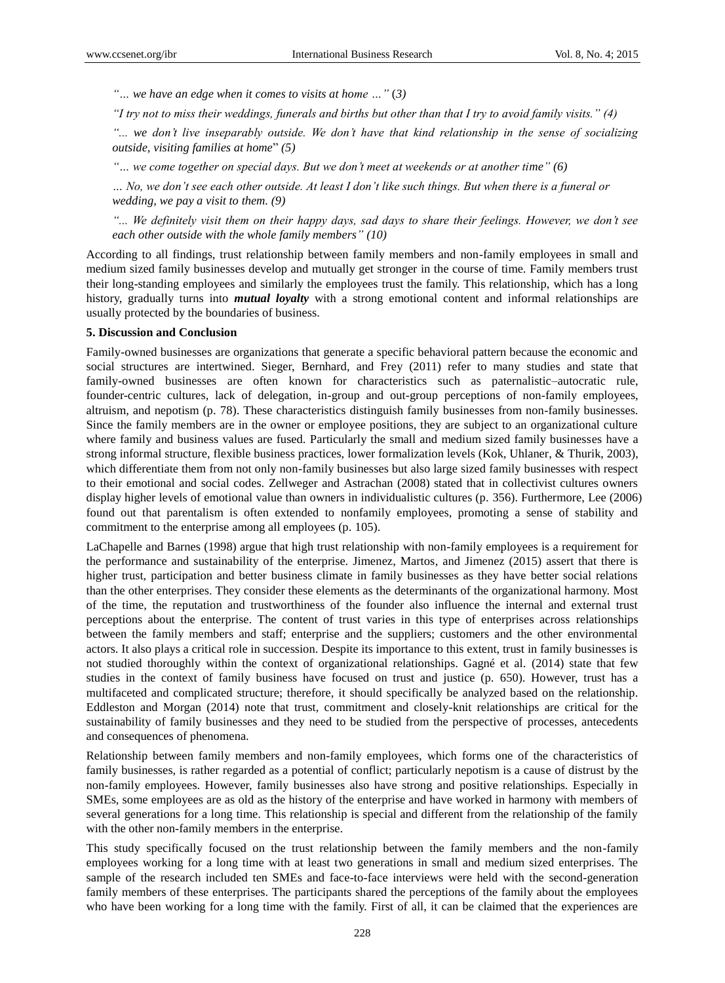*"… we have an edge when it comes to visits at home …"* (*3)*

*"I try not to miss their weddings, funerals and births but other than that I try to avoid family visits." (4)*

*"... we don't live inseparably outside. We don't have that kind relationship in the sense of socializing outside, visiting families at home*" *(5)*

*"… we come together on special days. But we don't meet at weekends or at another time" (6)*

*… No, we don't see each other outside. At least I don't like such things. But when there is a funeral or wedding, we pay a visit to them. (9)*

*"... We definitely visit them on their happy days, sad days to share their feelings. However, we don't see each other outside with the whole family members" (10)*

According to all findings, trust relationship between family members and non-family employees in small and medium sized family businesses develop and mutually get stronger in the course of time. Family members trust their long-standing employees and similarly the employees trust the family. This relationship, which has a long history, gradually turns into *mutual loyalty* with a strong emotional content and informal relationships are usually protected by the boundaries of business.

#### **5. Discussion and Conclusion**

Family-owned businesses are organizations that generate a specific behavioral pattern because the economic and social structures are intertwined. Sieger, Bernhard, and Frey (2011) refer to many studies and state that family-owned businesses are often known for characteristics such as paternalistic–autocratic rule, founder-centric cultures, lack of delegation, in-group and out-group perceptions of non-family employees, altruism, and nepotism (p. 78). These characteristics distinguish family businesses from non-family businesses. Since the family members are in the owner or employee positions, they are subject to an organizational culture where family and business values are fused. Particularly the small and medium sized family businesses have a strong informal structure, flexible business practices, lower formalization levels (Kok, Uhlaner, & Thurik, 2003), which differentiate them from not only non-family businesses but also large sized family businesses with respect to their emotional and social codes. Zellweger and Astrachan (2008) stated that in collectivist cultures owners display higher levels of emotional value than owners in individualistic cultures (p. 356). Furthermore, Lee (2006) found out that parentalism is often extended to nonfamily employees, promoting a sense of stability and commitment to the enterprise among all employees (p. 105).

LaChapelle and Barnes (1998) argue that high trust relationship with non-family employees is a requirement for the performance and sustainability of the enterprise. Jimenez, Martos, and Jimenez (2015) assert that there is higher trust, participation and better business climate in family businesses as they have better social relations than the other enterprises. They consider these elements as the determinants of the organizational harmony. Most of the time, the reputation and trustworthiness of the founder also influence the internal and external trust perceptions about the enterprise. The content of trust varies in this type of enterprises across relationships between the family members and staff; enterprise and the suppliers; customers and the other environmental actors. It also plays a critical role in succession. Despite its importance to this extent, trust in family businesses is not studied thoroughly within the context of organizational relationships. Gagné et al. (2014) state that few studies in the context of family business have focused on trust and justice (p. 650). However, trust has a multifaceted and complicated structure; therefore, it should specifically be analyzed based on the relationship. Eddleston and Morgan (2014) note that trust, commitment and closely-knit relationships are critical for the sustainability of family businesses and they need to be studied from the perspective of processes, antecedents and consequences of phenomena.

Relationship between family members and non-family employees, which forms one of the characteristics of family businesses, is rather regarded as a potential of conflict; particularly nepotism is a cause of distrust by the non-family employees. However, family businesses also have strong and positive relationships. Especially in SMEs, some employees are as old as the history of the enterprise and have worked in harmony with members of several generations for a long time. This relationship is special and different from the relationship of the family with the other non-family members in the enterprise.

This study specifically focused on the trust relationship between the family members and the non-family employees working for a long time with at least two generations in small and medium sized enterprises. The sample of the research included ten SMEs and face-to-face interviews were held with the second-generation family members of these enterprises. The participants shared the perceptions of the family about the employees who have been working for a long time with the family. First of all, it can be claimed that the experiences are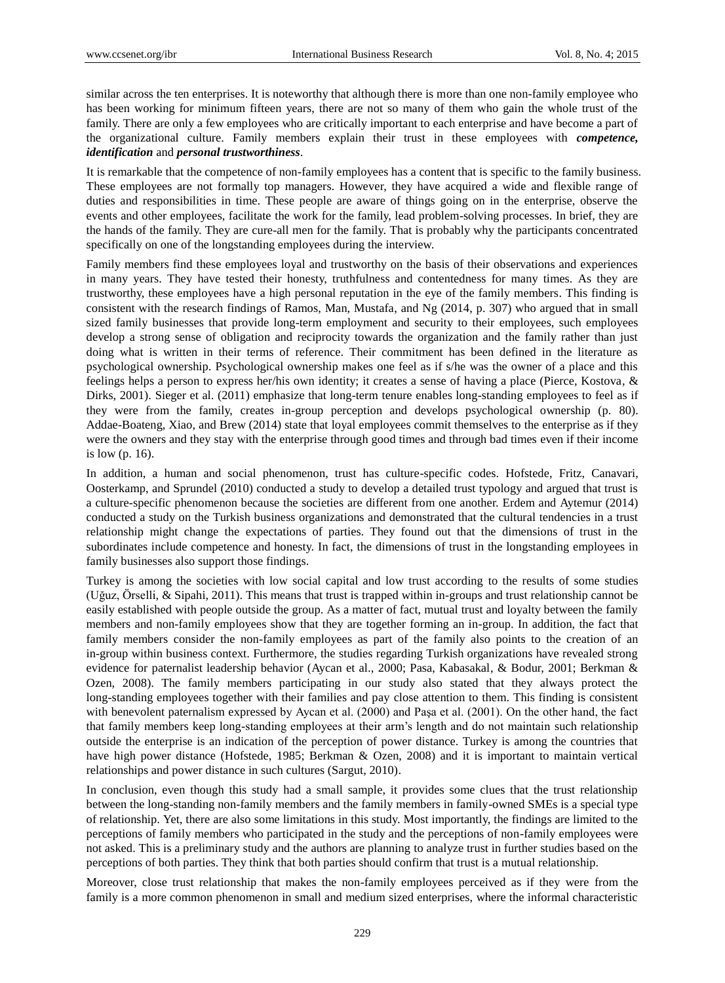similar across the ten enterprises. It is noteworthy that although there is more than one non-family employee who has been working for minimum fifteen years, there are not so many of them who gain the whole trust of the family. There are only a few employees who are critically important to each enterprise and have become a part of the organizational culture. Family members explain their trust in these employees with *competence, identification* and *personal trustworthiness*.

It is remarkable that the competence of non-family employees has a content that is specific to the family business. These employees are not formally top managers. However, they have acquired a wide and flexible range of duties and responsibilities in time. These people are aware of things going on in the enterprise, observe the events and other employees, facilitate the work for the family, lead problem-solving processes. In brief, they are the hands of the family. They are cure-all men for the family. That is probably why the participants concentrated specifically on one of the longstanding employees during the interview.

Family members find these employees loyal and trustworthy on the basis of their observations and experiences in many years. They have tested their honesty, truthfulness and contentedness for many times. As they are trustworthy, these employees have a high personal reputation in the eye of the family members. This finding is consistent with the research findings of Ramos, Man, Mustafa, and Ng (2014, p. 307) who argued that in small sized family businesses that provide long-term employment and security to their employees, such employees develop a strong sense of obligation and reciprocity towards the organization and the family rather than just doing what is written in their terms of reference. Their commitment has been defined in the literature as psychological ownership. Psychological ownership makes one feel as if s/he was the owner of a place and this feelings helps a person to express her/his own identity; it creates a sense of having a place (Pierce, Kostova, & Dirks, 2001). Sieger et al. (2011) emphasize that long-term tenure enables long-standing employees to feel as if they were from the family, creates in-group perception and develops psychological ownership (p. 80). Addae-Boateng, Xiao, and Brew (2014) state that loyal employees commit themselves to the enterprise as if they were the owners and they stay with the enterprise through good times and through bad times even if their income is low (p. 16).

In addition, a human and social phenomenon, trust has culture-specific codes. Hofstede, Fritz, Canavari, Oosterkamp, and Sprundel (2010) conducted a study to develop a detailed trust typology and argued that trust is a culture-specific phenomenon because the societies are different from one another. Erdem and Aytemur (2014) conducted a study on the Turkish business organizations and demonstrated that the cultural tendencies in a trust relationship might change the expectations of parties. They found out that the dimensions of trust in the subordinates include competence and honesty. In fact, the dimensions of trust in the longstanding employees in family businesses also support those findings.

Turkey is among the societies with low social capital and low trust according to the results of some studies (Uğuz, Örselli, & Sipahi, 2011). This means that trust is trapped within in-groups and trust relationship cannot be easily established with people outside the group. As a matter of fact, mutual trust and loyalty between the family members and non-family employees show that they are together forming an in-group. In addition, the fact that family members consider the non-family employees as part of the family also points to the creation of an in-group within business context. Furthermore, the studies regarding Turkish organizations have revealed strong evidence for paternalist leadership behavior (Aycan et al., 2000; Pasa, Kabasakal, & Bodur, 2001; Berkman & Ozen, 2008). The family members participating in our study also stated that they always protect the long-standing employees together with their families and pay close attention to them. This finding is consistent with benevolent paternalism expressed by Aycan et al. (2000) and Paşa et al. (2001). On the other hand, the fact that family members keep long-standing employees at their arm's length and do not maintain such relationship outside the enterprise is an indication of the perception of power distance. Turkey is among the countries that have high power distance (Hofstede, 1985; Berkman & Ozen, 2008) and it is important to maintain vertical relationships and power distance in such cultures (Sargut, 2010).

In conclusion, even though this study had a small sample, it provides some clues that the trust relationship between the long-standing non-family members and the family members in family-owned SMEs is a special type of relationship. Yet, there are also some limitations in this study. Most importantly, the findings are limited to the perceptions of family members who participated in the study and the perceptions of non-family employees were not asked. This is a preliminary study and the authors are planning to analyze trust in further studies based on the perceptions of both parties. They think that both parties should confirm that trust is a mutual relationship.

Moreover, close trust relationship that makes the non-family employees perceived as if they were from the family is a more common phenomenon in small and medium sized enterprises, where the informal characteristic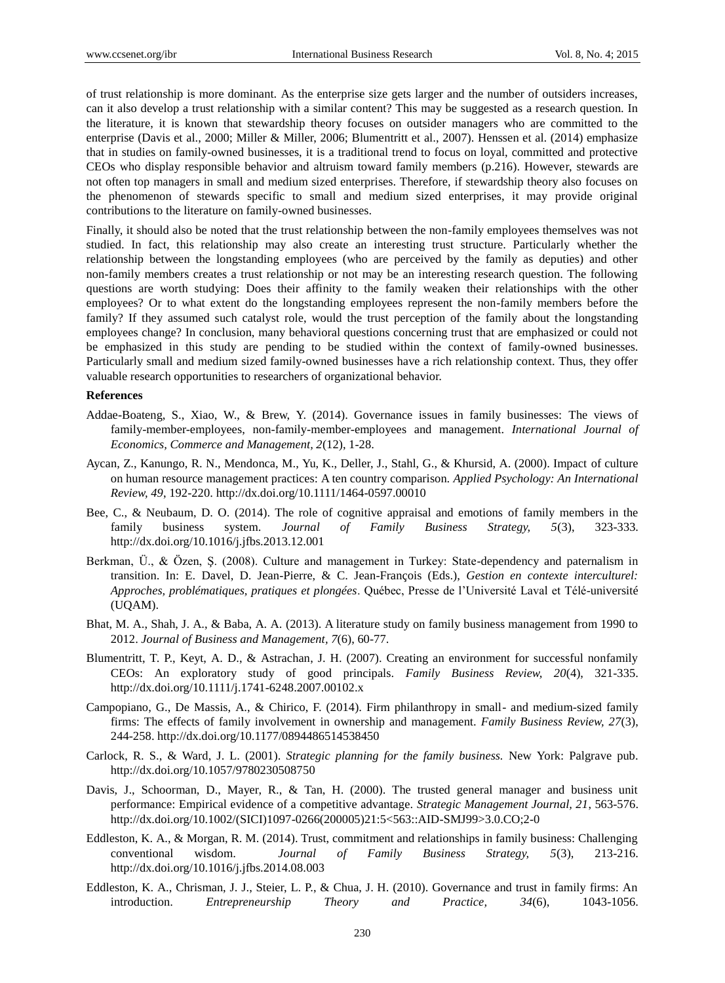of trust relationship is more dominant. As the enterprise size gets larger and the number of outsiders increases, can it also develop a trust relationship with a similar content? This may be suggested as a research question. In the literature, it is known that stewardship theory focuses on outsider managers who are committed to the enterprise (Davis et al., 2000; Miller & Miller, 2006; Blumentritt et al., 2007). Henssen et al. (2014) emphasize that in studies on family-owned businesses, it is a traditional trend to focus on loyal, committed and protective CEOs who display responsible behavior and altruism toward family members (p.216). However, stewards are not often top managers in small and medium sized enterprises. Therefore, if stewardship theory also focuses on the phenomenon of stewards specific to small and medium sized enterprises, it may provide original contributions to the literature on family-owned businesses.

Finally, it should also be noted that the trust relationship between the non-family employees themselves was not studied. In fact, this relationship may also create an interesting trust structure. Particularly whether the relationship between the longstanding employees (who are perceived by the family as deputies) and other non-family members creates a trust relationship or not may be an interesting research question. The following questions are worth studying: Does their affinity to the family weaken their relationships with the other employees? Or to what extent do the longstanding employees represent the non-family members before the family? If they assumed such catalyst role, would the trust perception of the family about the longstanding employees change? In conclusion, many behavioral questions concerning trust that are emphasized or could not be emphasized in this study are pending to be studied within the context of family-owned businesses. Particularly small and medium sized family-owned businesses have a rich relationship context. Thus, they offer valuable research opportunities to researchers of organizational behavior.

#### **References**

- Addae-Boateng, S., Xiao, W., & Brew, Y. (2014). Governance issues in family businesses: The views of family-member-employees, non-family-member-employees and management. *International Journal of Economics, Commerce and Management, 2*(12), 1-28.
- Aycan, Z., Kanungo, R. N., Mendonca, M., Yu, K., Deller, J., Stahl, G., & Khursid, A. (2000). Impact of culture on human resource management practices: A ten country comparison. *Applied Psychology: An International Review, 49*, 192-220. http://dx.doi.org/10.1111/1464-0597.00010
- Bee, C., & Neubaum, D. O. (2014). The role of cognitive appraisal and emotions of family members in the family business system. *Journal of Family Business Strategy, 5*(3), 323-333. http://dx.doi.org/10.1016/j.jfbs.2013.12.001
- Berkman, Ü., & Özen, Ş. (2008). Culture and management in Turkey: State-dependency and paternalism in transition. In: E. Davel, D. Jean-Pierre, & C. Jean-François (Eds.), *Gestion en contexte interculturel: Approches, problématiques, pratiques et plongées*. Québec, Presse de l'Université Laval et Télé-université (UQAM).
- Bhat, M. A., Shah, J. A., & Baba, A. A. (2013). A literature study on family business management from 1990 to 2012. *Journal of Business and Management, 7*(6), 60-77.
- Blumentritt, T. P., Keyt, A. D., & Astrachan, J. H. (2007). Creating an environment for successful nonfamily CEOs: An exploratory study of good principals. *Family Business Review, 20*(4), 321-335. http://dx.doi.org/10.1111/j.1741-6248.2007.00102.x
- Campopiano, G., De Massis, A., & Chirico, F. (2014). Firm philanthropy in small- and medium-sized family firms: The effects of family involvement in ownership and management. *Family Business Review, 27*(3), 244-258. http://dx.doi.org/10.1177/0894486514538450
- Carlock, R. S., & Ward, J. L. (2001). *Strategic planning for the family business.* New York: Palgrave pub. http://dx.doi.org/10.1057/9780230508750
- Davis, J., Schoorman, D., Mayer, R., & Tan, H. (2000). The trusted general manager and business unit performance: Empirical evidence of a competitive advantage. *Strategic Management Journal, 21*, 563-576. http://dx.doi.org/10.1002/(SICI)1097-0266(200005)21:5<563::AID-SMJ99>3.0.CO;2-0
- Eddleston, K. A., & Morgan, R. M. (2014). Trust, commitment and relationships in family business: Challenging conventional wisdom. *Journal of Family Business Strategy, 5*(3), 213-216. http://dx.doi.org/10.1016/j.jfbs.2014.08.003
- Eddleston, K. A., Chrisman, J. J., Steier, L. P., & Chua, J. H. (2010). Governance and trust in family firms: An introduction. *Entrepreneurship Theory and Practice, 34*(6), 1043-1056.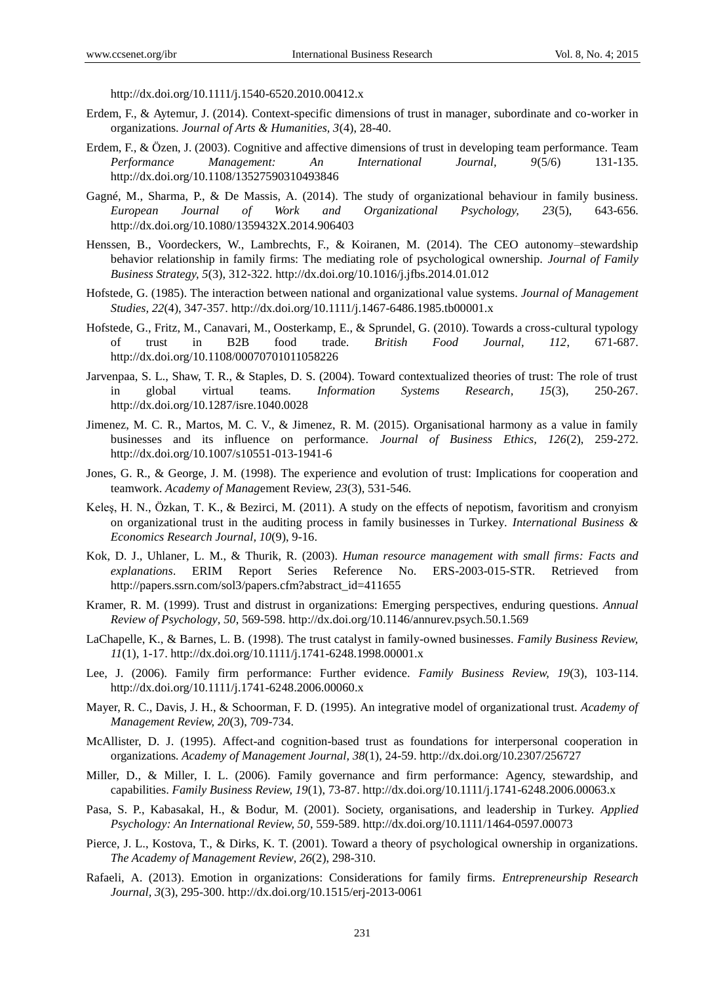http://dx.doi.org/10.1111/j.1540-6520.2010.00412.x

- Erdem, F., & Aytemur, J. (2014). Context-specific dimensions of trust in manager, subordinate and co-worker in organizations. *Journal of Arts & Humanities, 3*(4), 28-40.
- Erdem, F., & Özen, J. (2003). Cognitive and affective dimensions of trust in developing team performance. Team *Performance Management: An International Journal, 9*(5/6) 131-135. http://dx.doi.org/10.1108/13527590310493846
- Gagné, M., Sharma, P., & De Massis, A. (2014). The study of organizational behaviour in family business. *European Journal of Work and Organizational Psychology, 23*(5), 643-656. http://dx.doi.org/10.1080/1359432X.2014.906403
- Henssen, B., Voordeckers, W., Lambrechts, F., & Koiranen, M. (2014). The CEO autonomy–stewardship behavior relationship in family firms: The mediating role of psychological ownership. *Journal of Family Business Strategy, 5*(3), 312-322. http://dx.doi.org/10.1016/j.jfbs.2014.01.012
- Hofstede, G. (1985). The interaction between national and organizational value systems. *Journal of Management Studies, 22*(4), 347-357. http://dx.doi.org/10.1111/j.1467-6486.1985.tb00001.x
- Hofstede, G., Fritz, M., Canavari, M., Oosterkamp, E., & Sprundel, G. (2010). Towards a cross-cultural typology of trust in B2B food trade. *British Food Journal, 112*, 671-687. http://dx.doi.org/10.1108/00070701011058226
- Jarvenpaa, S. L., Shaw, T. R., & Staples, D. S. (2004). Toward contextualized theories of trust: The role of trust in global virtual teams. *Information Systems Research, 15*(3), 250-267. http://dx.doi.org/10.1287/isre.1040.0028
- Jimenez, M. C. R., Martos, M. C. V., & Jimenez, R. M. (2015). Organisational harmony as a value in family businesses and its influence on performance. *Journal of Business Ethics, 126*(2), 259-272. http://dx.doi.org/10.1007/s10551-013-1941-6
- Jones, G. R., & George, J. M. (1998). The experience and evolution of trust: Implications for cooperation and teamwork. *Academy of Manag*ement Review, *23*(3), 531-546.
- Keleş, H. N., Özkan, T. K., & Bezirci, M. (2011). A study on the effects of nepotism, favoritism and cronyism on organizational trust in the auditing process in family businesses in Turkey. *International Business & Economics Research Journal, 10*(9), 9-16.
- Kok, D. J., Uhlaner, L. M., & Thurik, R. (2003). *Human resource management with small firms: Facts and explanations*. ERIM Report Series Reference No. ERS-2003-015-STR. Retrieved from http://papers.ssrn.com/sol3/papers.cfm?abstract\_id=411655
- Kramer, R. M. (1999). Trust and distrust in organizations: Emerging perspectives, enduring questions. *Annual Review of Psychology, 50*, 569-598. http://dx.doi.org/10.1146/annurev.psych.50.1.569
- LaChapelle, K., & Barnes, L. B. (1998). The trust catalyst in family-owned businesses. *Family Business Review, 11*(1), 1-17. http://dx.doi.org/10.1111/j.1741-6248.1998.00001.x
- Lee, J. (2006). Family firm performance: Further evidence. *Family Business Review, 19*(3), 103-114. http://dx.doi.org/10.1111/j.1741-6248.2006.00060.x
- Mayer, R. C., Davis, J. H., & Schoorman, F. D. (1995). An integrative model of organizational trust. *Academy of Management Review, 20*(3), 709-734.
- McAllister, D. J. (1995). Affect-and cognition-based trust as foundations for interpersonal cooperation in organizations*. Academy of Management Journal, 38*(1), 24-59. http://dx.doi.org/10.2307/256727
- Miller, D., & Miller, I. L. (2006). Family governance and firm performance: Agency, stewardship, and capabilities. *Family Business Review, 19*(1), 73-87. http://dx.doi.org/10.1111/j.1741-6248.2006.00063.x
- Pasa, S. P., Kabasakal, H., & Bodur, M. (2001). Society, organisations, and leadership in Turkey. *Applied Psychology: An International Review, 50*, 559-589. http://dx.doi.org/10.1111/1464-0597.00073
- Pierce, J. L., Kostova, T., & Dirks, K. T. (2001). Toward a theory of psychological ownership in organizations. *The Academy of Management Review, 26*(2), 298-310.
- Rafaeli, A. (2013). Emotion in organizations: Considerations for family firms. *Entrepreneurship Research Journal, 3*(3), 295-300. http://dx.doi.org/10.1515/erj-2013-0061